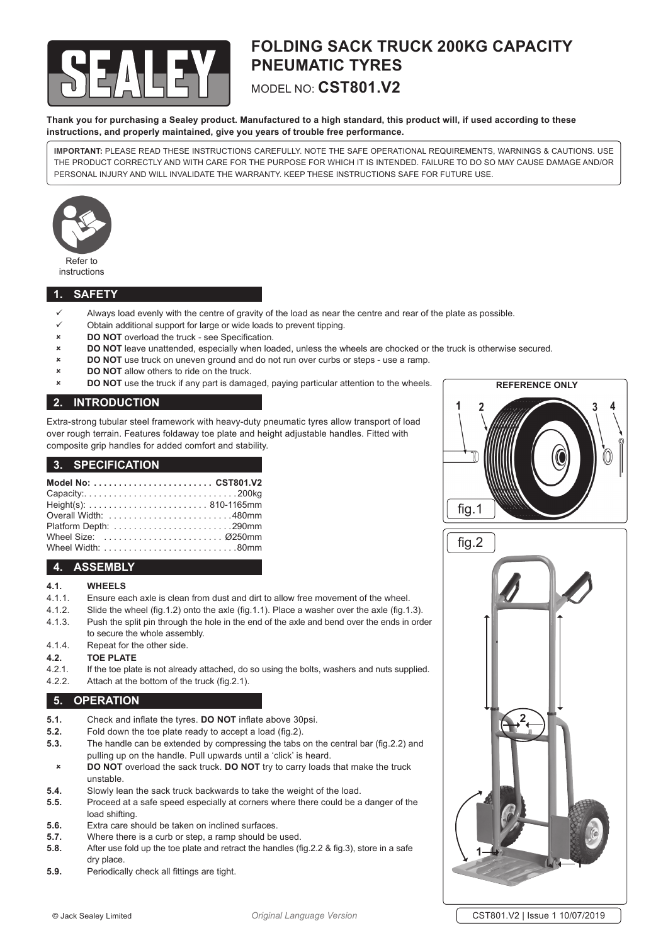

## **FOLDING SACK TRUCK 200KG CAPACITY PNEUMATIC TYRES**  MODEL NO: **CST801.V2**

**Thank you for purchasing a Sealey product. Manufactured to a high standard, this product will, if used according to these instructions, and properly maintained, give you years of trouble free performance.**

**IMPORTANT:** PLEASE READ THESE INSTRUCTIONS CAREFULLY. NOTE THE SAFE OPERATIONAL REQUIREMENTS, WARNINGS & CAUTIONS. USE THE PRODUCT CORRECTLY AND WITH CARE FOR THE PURPOSE FOR WHICH IT IS INTENDED. FAILURE TO DO SO MAY CAUSE DAMAGE AND/OR PERSONAL INJURY AND WILL INVALIDATE THE WARRANTY. KEEP THESE INSTRUCTIONS SAFE FOR FUTURE USE.



#### **1. SAFETY**

- Always load evenly with the centre of gravity of the load as near the centre and rear of the plate as possible.
- Obtain additional support for large or wide loads to prevent tipping.
- **DO NOT** overload the truck see Specification.
- 8 **DO NOT** leave unattended, especially when loaded, unless the wheels are chocked or the truck is otherwise secured.
- 8 **DO NOT** use truck on uneven ground and do not run over curbs or steps use a ramp.
- **DO NOT** allow others to ride on the truck.
- **8 DO NOT** use the truck if any part is damaged, paying particular attention to the wheels.

## **2. INTRODUCTION**

Extra-strong tubular steel framework with heavy-duty pneumatic tyres allow transport of load over rough terrain. Features foldaway toe plate and height adjustable handles. Fitted with composite grip handles for added comfort and stability.

#### **3. SPECIFICATION**

| Model No:  CST801.V2 |  |
|----------------------|--|
| Capacity:200kg       |  |
|                      |  |
|                      |  |
|                      |  |
| Wheel Size:  0250mm  |  |
|                      |  |

## **4. ASSEMBLY**

#### **4.1. WHEELS**

- 4.1.1. Ensure each axle is clean from dust and dirt to allow free movement of the wheel.
- 4.1.2. Slide the wheel (fig.1.2) onto the axle (fig.1.1). Place a washer over the axle (fig.1.3).
- 4.1.3. Push the split pin through the hole in the end of the axle and bend over the ends in order to secure the whole assembly.
- 4.1.4. Repeat for the other side.

# **4.2. TOE PLATE**

- 4.2.1. If the toe plate is not already attached, do so using the bolts, washers and nuts supplied.<br>4.2.2. Attach at the bottom of the truck (fig. 2.1)
- Attach at the bottom of the truck (fig. 2.1).

### **5. OPERATION**

- **5.1.** Check and inflate the tyres. **DO NOT** inflate above 30psi.<br>**5.2** Eold down the toe plate ready to accept a load (fig. 2)
- **5.2.** Fold down the toe plate ready to accept a load (fig.2).
- **5.3.** The handle can be extended by compressing the tabs on the central bar (fig.2.2) and pulling up on the handle. Pull upwards until a 'click' is heard.
- 8 **DO NOT** overload the sack truck. **DO NOT** try to carry loads that make the truck unstable.
- **5.4.** Slowly lean the sack truck backwards to take the weight of the load.
- **5.5.** Proceed at a safe speed especially at corners where there could be a danger of the load shifting.
- **5.6.** Extra care should be taken on inclined surfaces.
- **5.7.** Where there is a curb or step, a ramp should be used.
- **5.8.** After use fold up the toe plate and retract the handles (fig.2.2 & fig.3), store in a safe dry place.
- **5.9.** Periodically check all fittings are tight.





© Jack Sealey Limited *Original Language Version* CST801.V2 | Issue 1 10/07/2019